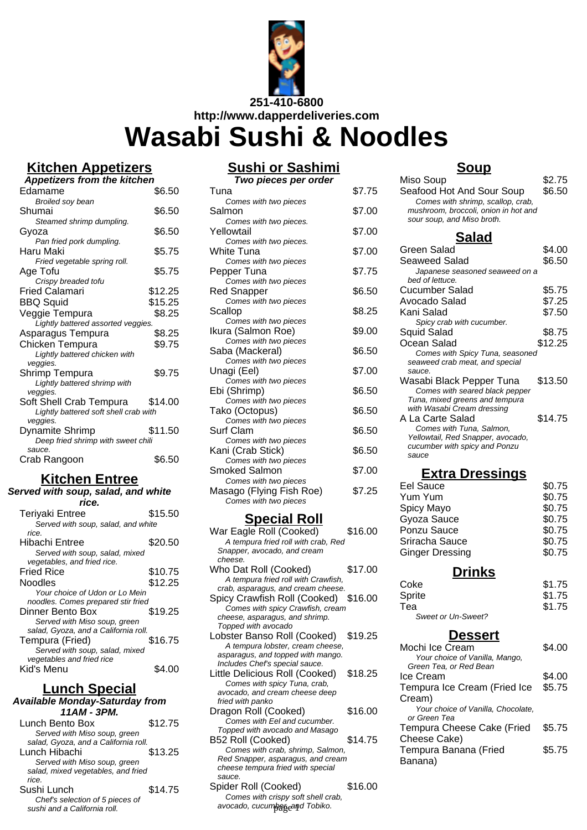

### **Kitchen Appetizers**

| <b>Sushi or Sashimi</b> |                      |  |
|-------------------------|----------------------|--|
|                         | Two pieces per order |  |

Comes with two pieces

Tuna \$7.75

| <b>Appetizers from the kitchen</b>                      |         |
|---------------------------------------------------------|---------|
| Edamame                                                 | \$6.50  |
| <b>Broiled soy bean</b>                                 |         |
| Shumai                                                  | \$6.50  |
| Steamed shrimp dumpling.                                |         |
| Gyoza                                                   | \$6.50  |
| Pan fried pork dumpling.                                |         |
| Haru Maki                                               | \$5.75  |
| Fried vegetable spring roll.                            |         |
| Age Tofu                                                | \$5.75  |
| Crispy breaded tofu<br>Fried Calamari                   | \$12.25 |
|                                                         | \$15.25 |
| BBQ Squid                                               |         |
| Veggie Tempura                                          | \$8.25  |
| Lightly battered assorted veggies.<br>Asparagus Tempura | \$8.25  |
|                                                         |         |
| Chicken Tempura                                         | \$9.75  |
| Lightly battered chicken with<br>veggies.               |         |
| Shrimp Tempura                                          | \$9.75  |
| Lightly battered shrimp with                            |         |
| veggies.                                                |         |
| Soft Shell Crab Tempura                                 | \$14.00 |
| Lightly battered soft shell crab with                   |         |
| veggies.                                                |         |
| Dynamite Shrimp                                         | \$11.50 |
| Deep fried shrimp with sweet chili                      |         |
| sauce.                                                  |         |
| Crab Rangoon                                            | \$6.50  |
|                                                         |         |

#### **Kitchen Entree Served with soup, salad, and white**

| ca mar soup, salaa, aha milito       |         |
|--------------------------------------|---------|
| rice.                                |         |
| Teriyaki Entree                      | \$15.50 |
| Served with soup, salad, and white   |         |
| rice.                                |         |
| Hibachi Entree                       | \$20.50 |
| Served with soup, salad, mixed       |         |
| vegetables, and fried rice.          |         |
| <b>Fried Rice</b>                    | \$10.75 |
| Noodles                              | \$12.25 |
| Your choice of Udon or Lo Mein       |         |
| noodles. Comes prepared stir fried   |         |
| Dinner Bento Box                     | \$19.25 |
| Served with Miso soup, green         |         |
| salad, Gyoza, and a California roll. |         |
| Tempura (Fried)                      | \$16.75 |
| Served with soup, salad, mixed       |         |
| vegetables and fried rice            |         |
| Kid's Menu                           |         |
|                                      |         |

# **Lunch Special**

| <b>Available Monday-Saturday from</b> |         |
|---------------------------------------|---------|
| 11AM - 3PM.                           |         |
| Lunch Bento Box                       | \$12.75 |
| Served with Miso soup, green          |         |
| salad, Gyoza, and a California roll.  |         |
| Lunch Hibachi                         | \$13.25 |
| Served with Miso soup, green          |         |
| salad, mixed vegetables, and fried    |         |
| rice.                                 |         |
| Sushi Lunch                           | \$14.75 |
| Chef's selection of 5 nieces of       |         |

Chef's selection of 5 pieces of sushi and a California roll.

| COTILES WILL LWO DIECES. |        |
|--------------------------|--------|
| Yellowtail               | \$7.00 |
| Comes with two pieces.   |        |
| White Tuna               | \$7.00 |
| Comes with two pieces    |        |
| Pepper Tuna              | \$7.75 |
| Comes with two pieces    |        |
| Red Snapper              | \$6.50 |
| Comes with two pieces    |        |
| Scallop                  | \$8.25 |
| Comes with two pieces    |        |
| Ikura (Salmon Roe)       | \$9.00 |
| Comes with two pieces    |        |
| Saba (Mackeral)          | \$6.50 |
| Comes with two pieces    |        |
| Unagi (Eel)              | \$7.00 |
| Comes with two pieces    |        |
| Ebi (Shrimp)             | \$6.50 |
| Comes with two pieces    |        |
| Tako (Octopus)           | \$6.50 |
| Comes with two pieces    |        |
| <b>Surf Clam</b>         | \$6.50 |
| Comes with two pieces    |        |
| Kani (Crab Stick)        | \$6.50 |
| Comes with two pieces    |        |
| Smoked Salmon            | \$7.00 |
| Comes with two pieces    |        |
| Masago (Flying Fish Roe) | \$7.25 |
| Comes with two pieces    |        |

#### **Special Roll**

| War Eagle Roll (Cooked)              | \$16.00 |
|--------------------------------------|---------|
| A tempura fried roll with crab, Red  |         |
| Snapper, avocado, and cream          |         |
| cheese.                              |         |
| Who Dat Roll (Cooked)                | \$17.00 |
| A tempura fried roll with Crawfish,  |         |
| crab, asparagus, and cream cheese.   |         |
| Spicy Crawfish Roll (Cooked) \$16.00 |         |
| Comes with spicy Crawfish, cream     |         |
| cheese, asparagus, and shrimp.       |         |
| Topped with avocado                  |         |
| Lobster Banso Roll (Cooked)          | \$19.25 |
| A tempura lobster, cream cheese,     |         |
| asparagus, and topped with mango.    |         |
| Includes Chef's special sauce.       |         |
| Little Delicious Roll (Cooked)       | \$18.25 |
| Comes with spicy Tuna, crab,         |         |
| avocado, and cream cheese deep       |         |
| fried with panko                     |         |
| Dragon Roll (Cooked)                 | \$16.00 |
| Comes with Eel and cucumber.         |         |
| Topped with avocado and Masago       |         |
| B52 Roll (Cooked)                    | \$14.75 |
| Comes with crab, shrimp, Salmon,     |         |
| Red Snapper, asparagus, and cream    |         |
| cheese tempura fried with special    |         |
| sauce.                               |         |
| Spider Roll (Cooked)                 | \$16.00 |
|                                      |         |

Comes with crispy soft shell crab, avocado, cucumbe<sub>r</sub>eand Tobiko.

| Salmon                              | \$7.00  | mushroom, broccoli, onion in hot and<br>sour soup, and Miso broth. |         |
|-------------------------------------|---------|--------------------------------------------------------------------|---------|
| Comes with two pieces.              |         |                                                                    |         |
| Yellowtail                          | \$7.00  | <u>Salad</u>                                                       |         |
| Comes with two pieces.              |         | Green Salad                                                        | \$4.00  |
| <b>White Tuna</b>                   | \$7.00  |                                                                    |         |
| Comes with two pieces               | \$7.75  | Seaweed Salad                                                      | \$6.50  |
| Pepper Tuna                         |         | Japanese seasoned seaweed on a<br>bed of lettuce.                  |         |
| Comes with two pieces               |         | <b>Cucumber Salad</b>                                              | \$5.75  |
| Red Snapper                         | \$6.50  |                                                                    |         |
| Comes with two pieces               |         | Avocado Salad                                                      | \$7.25  |
| Scallop                             | \$8.25  | Kani Salad                                                         | \$7.50  |
| Comes with two pieces               |         | Spicy crab with cucumber.                                          |         |
| Ikura (Salmon Roe)                  | \$9.00  | Squid Salad                                                        | \$8.75  |
| Comes with two pieces               |         | Ocean Salad                                                        | \$12.25 |
| Saba (Mackeral)                     | \$6.50  | Comes with Spicy Tuna, seasoned                                    |         |
| Comes with two pieces               |         | seaweed crab meat, and special                                     |         |
| Unagi (Eel)                         | \$7.00  | sauce.                                                             |         |
| Comes with two pieces               |         | Wasabi Black Pepper Tuna                                           | \$13.50 |
| Ebi (Shrimp)                        | \$6.50  | Comes with seared black pepper                                     |         |
| Comes with two pieces               |         | Tuna, mixed greens and tempura<br>with Wasabi Cream dressing       |         |
| Tako (Octopus)                      | \$6.50  | A La Carte Salad                                                   | \$14.75 |
| Comes with two pieces               |         | Comes with Tuna, Salmon,                                           |         |
| Surf Clam                           | \$6.50  | Yellowtail, Red Snapper, avocado,                                  |         |
| Comes with two pieces               |         | cucumber with spicy and Ponzu                                      |         |
| Kani (Crab Stick)                   | \$6.50  | sauce                                                              |         |
| Comes with two pieces               |         |                                                                    |         |
| <b>Smoked Salmon</b>                | \$7.00  | <b>Extra Dressings</b>                                             |         |
| Comes with two pieces               |         | Eel Sauce                                                          | \$0.75  |
| Masago (Flying Fish Roe)            | \$7.25  | Yum Yum                                                            | \$0.75  |
| Comes with two pieces               |         | Spicy Mayo                                                         | \$0.75  |
|                                     |         |                                                                    |         |
| <u>Special Roll</u>                 |         | Gyoza Sauce                                                        | \$0.75  |
| War Eagle Roll (Cooked)             | \$16.00 | Ponzu Sauce                                                        | \$0.75  |
| A tempura fried roll with crab, Red |         | Sriracha Sauce                                                     | \$0.75  |

**Soup** Miso Soup<br>Seafood Hot And Sour Soup \$6.50

Seafood Hot And Sour Soup Comes with shrimp, scallop, crab,

#### **Drinks**

| Coke               | \$1.75 |
|--------------------|--------|
| Sprite             | \$1.75 |
| Tea                | \$1.75 |
| Sweet or Un-Sweet? |        |

Ginger Dressing \$0.75

### **Dessert**

| Mochi Ice Cream                    | \$4.00 |
|------------------------------------|--------|
| Your choice of Vanilla, Mango,     |        |
| Green Tea, or Red Bean             |        |
| Ice Cream                          | \$4.00 |
| Tempura Ice Cream (Fried Ice       | \$5.75 |
| Cream)                             |        |
| Your choice of Vanilla, Chocolate, |        |
| or Green Tea                       |        |
| Tempura Cheese Cake (Fried         | \$5.75 |
| Cheese Cake)                       |        |
| Tempura Banana (Fried              | \$5.75 |
| Banana)                            |        |
|                                    |        |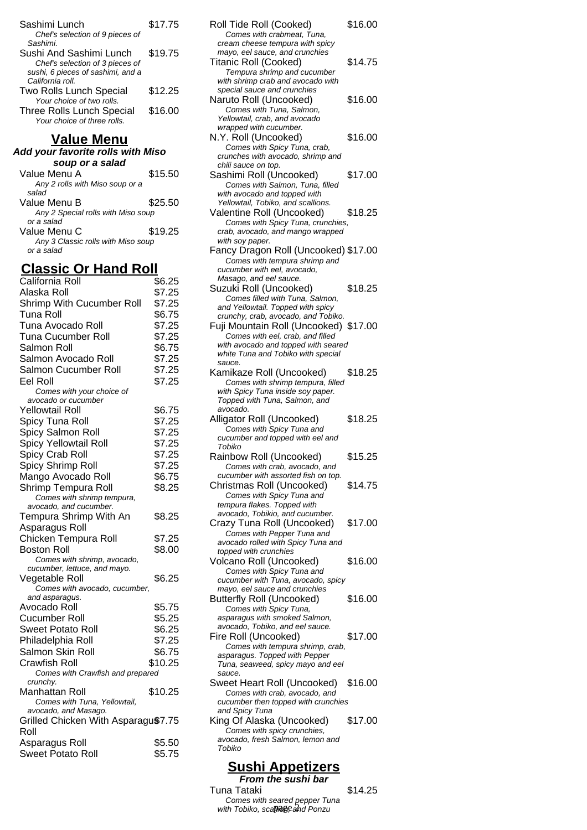| \$17.75 |
|---------|
|         |
|         |
| \$19.75 |
|         |
|         |
|         |
| \$12.25 |
|         |
| \$16.00 |
|         |
|         |

#### **Value Menu**

**Add your favorite rolls with Miso soup or a salad** Value Menu A  $$15.50$ 

| Any 2 rolls with Miso soup or a    |         |
|------------------------------------|---------|
| salad                              |         |
| Value Menu B                       | \$25.50 |
| Any 2 Special rolls with Miso soup |         |
| or a salad                         |         |
| Value Menu C                       | \$19.25 |
| Any 3 Classic rolls with Miso soup |         |
| or a salad                         |         |

## **Classic Or Hand Roll**

| California Roll                     | \$6.25  |
|-------------------------------------|---------|
| Alaska Roll                         | \$7.25  |
| Shrimp With Cucumber Roll           | \$7.25  |
| Tuna Roll                           | \$6.75  |
| Tuna Avocado Roll                   | \$7.25  |
| Tuna Cucumber Roll                  | \$7.25  |
| Salmon Roll                         | \$6.75  |
| Salmon Avocado Roll                 | \$7.25  |
| Salmon Cucumber Roll                | \$7.25  |
| Eel Roll                            | \$7.25  |
| Comes with your choice of           |         |
| avocado or cucumber                 |         |
| Yellowtail Roll                     | \$6.75  |
| Spicy Tuna Roll                     | \$7.25  |
| Spicy Salmon Roll                   | \$7.25  |
| Spicy Yellowtail Roll               | \$7.25  |
| Spicy Crab Roll                     | \$7.25  |
| Spicy Shrimp Roll                   | \$7.25  |
| Mango Avocado Roll                  | \$6.75  |
| Shrimp Tempura Roll                 | \$8.25  |
| Comes with shrimp tempura,          |         |
| avocado, and cucumber.              |         |
| Tempura Shrimp With An              | \$8.25  |
| Asparagus Roll                      |         |
| Chicken Tempura Roll                | \$7.25  |
| <b>Boston Roll</b>                  | \$8.00  |
| Comes with shrimp, avocado,         |         |
| cucumber, lettuce, and mayo.        |         |
| Vegetable Roll                      | \$6.25  |
| .<br>Comes with avocado, cucumber,  |         |
| and asparagus.<br>Avocado Roll      | \$5.75  |
|                                     |         |
| Cucumber Roll                       | \$5.25  |
| <b>Sweet Potato Roll</b>            | \$6.25  |
| Philadelphia Roll                   | \$7.25  |
| Salmon Skin Roll                    | \$6.75  |
| <b>Crawfish Roll</b>                | \$10.25 |
| Comes with Crawfish and prepared    |         |
| crunchy.<br>Manhattan Roll          | \$10.25 |
| Comes with Tuna, Yellowtail,        |         |
| avocado, and Masago.                |         |
| Grilled Chicken With Asparagu\$7.75 |         |
| Roll                                |         |
| Asparagus Roll                      | \$5.50  |
| Sweet Potato Roll                   | \$5.75  |
|                                     |         |

| Roll Tide Roll (Cooked)                                                   | \$16.00 |
|---------------------------------------------------------------------------|---------|
| Comes with crabmeat, Tuna,                                                |         |
| cream cheese tempura with spicy<br>mayo, eel sauce, and crunchies         |         |
| Titanic Roll (Cooked)                                                     | \$14.75 |
| Tempura shrimp and cucumber                                               |         |
| with shrimp crab and avocado with                                         |         |
| special sauce and crunchies                                               |         |
| Naruto Roll (Uncooked)<br>Comes with Tuna, Salmon,                        | \$16.00 |
| Yellowtail, crab, and avocado                                             |         |
| wrapped with cucumber.                                                    |         |
| N.Y. Roll (Uncooked)                                                      | \$16.00 |
| Comes with Spicy Tuna, crab,                                              |         |
| crunches with avocado, shrimp and                                         |         |
| chili sauce on top.<br>Sashimi Roll (Uncooked)                            | \$17.00 |
| Comes with Salmon, Tuna, filled                                           |         |
| with avocado and topped with                                              |         |
| Yellowtail, Tobiko, and scallions.                                        |         |
| Valentine Roll (Uncooked)                                                 | \$18.25 |
| Comes with Spicy Tuna, crunchies,                                         |         |
| crab, avocado, and mango wrapped<br>with soy paper.                       |         |
| Fancy Dragon Roll (Uncooked) \$17.00                                      |         |
| Comes with tempura shrimp and                                             |         |
| cucumber with eel, avocado,                                               |         |
| Masago, and eel sauce.                                                    |         |
| Suzuki Roll (Uncooked)                                                    | \$18.25 |
| Comes filled with Tuna, Salmon,                                           |         |
| and Yellowtail. Topped with spicy<br>crunchy, crab, avocado, and Tobiko.  |         |
| Fuji Mountain Roll (Uncooked) \$17.00                                     |         |
| Comes with eel, crab, and filled                                          |         |
| with avocado and topped with seared                                       |         |
| white Tuna and Tobiko with special                                        |         |
| sauce.                                                                    | \$18.25 |
| Kamikaze Roll (Uncooked)<br>Comes with shrimp tempura, filled             |         |
|                                                                           |         |
|                                                                           |         |
| with Spicy Tuna inside soy paper.<br>Topped with Tuna, Salmon, and        |         |
| avocado.                                                                  |         |
| Alligator Roll (Uncooked)                                                 | \$18.25 |
| Comes with Spicy Tuna and                                                 |         |
| cucumber and topped with eel and<br>Tobiko                                |         |
|                                                                           |         |
| Rainbow Roll (Uncooked)                                                   | \$15.25 |
| Comes with crab, avocado, and<br>cucumber with assorted fish on top.      |         |
| Christmas Roll (Uncooked)                                                 | \$14.75 |
| Comes with Spicy Tuna and                                                 |         |
| tempura flakes. Topped with                                               |         |
| avocado, Tobikio, and cucumber.                                           |         |
| Crazy Tuna Roll (Uncooked)                                                | \$17.00 |
| Comes with Pepper Tuna and<br>avocado rolled with Spicy Tuna and          |         |
| topped with crunchies                                                     |         |
| Volcano Roll (Uncooked)                                                   | \$16.00 |
| Comes with Spicy Tuna and                                                 |         |
| cucumber with Tuna, avocado, spicy                                        |         |
| mayo, eel sauce and crunchies                                             |         |
| <b>Butterfly Roll (Uncooked)</b><br>Comes with Spicy Tuna,                | \$16.00 |
| asparagus with smoked Salmon,                                             |         |
| avocado, Tobiko, and eel sauce.                                           |         |
| Fire Roll (Uncooked)                                                      | \$17.00 |
| Comes with tempura shrimp, crab,                                          |         |
| asparagus. Topped with Pepper                                             |         |
| Tuna, seaweed, spicy mayo and eel<br>sauce.                               |         |
| Sweet Heart Roll (Uncooked)                                               | \$16.00 |
| Comes with crab, avocado, and                                             |         |
| cucumber then topped with crunchies                                       |         |
| and Spicy Tuna                                                            |         |
| King Of Alaska (Uncooked)                                                 | \$17.00 |
| Comes with spicy crunchies,<br>avocado, fresh Salmon, lemon and<br>Tobiko |         |

#### **Sushi Appetizers**

**From the sushi bar** Tuna Tataki  $$14.25$ Comes with seared pepper Tuna<br>with Tobiko, scallies, and Ponzu